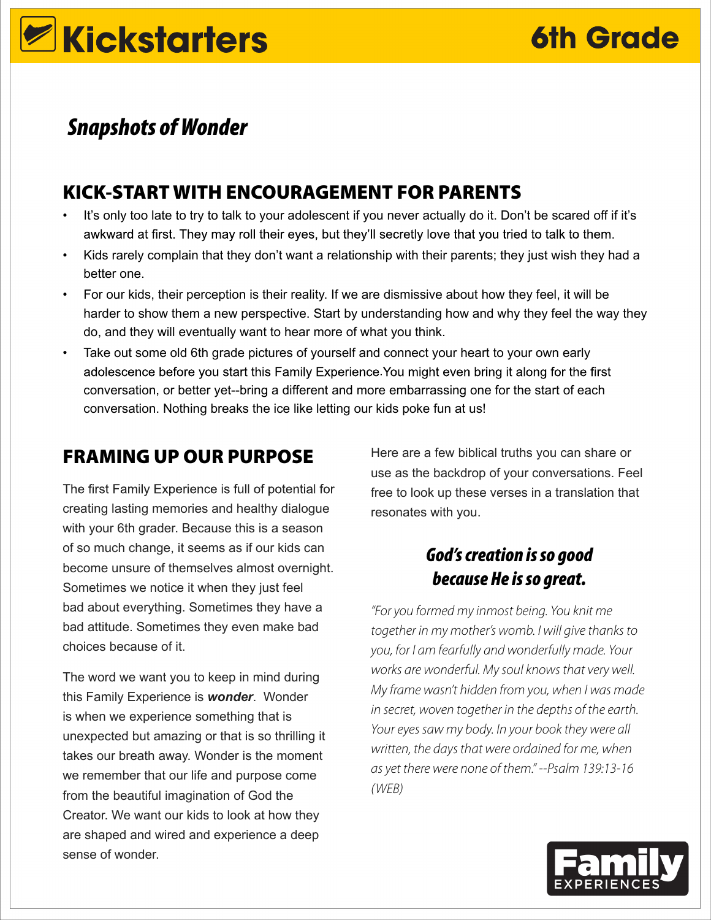# **Z**Kickstarters

# *Snapshots of Wonder*

# KICK-START WITH ENCOURAGEMENT FOR PARENTS

- It's only too late to try to talk to your adolescent if you never actually do it. Don't be scared off if it's awkward at first. They may roll their eyes, but they'll secretly love that you tried to talk to them.
- Kids rarely complain that they don't want a relationship with their parents; they just wish they had a better one.
- For our kids, their perception is their reality. If we are dismissive about how they feel, it will be harder to show them a new perspective. Start by understanding how and why they feel the way they do, and they will eventually want to hear more of what you think.
- Take out some old 6th grade pictures of yourself and connect your heart to your own early conversation, or better yet--bring a different and more embarrassing one for the start of each conversation. Nothing breaks the ice like letting our kids poke fun at us! adolescence before you start this Family Experience. You might even bring it along for the first

# FRAMING UP OUR PURPOSE

The first Family Experience is full of potential for creating lasting memories and healthy dialogue with your 6th grader. Because this is a season of so much change, it seems as if our kids can become unsure of themselves almost overnight. Sometimes we notice it when they just feel bad about everything. Sometimes they have a bad attitude. Sometimes they even make bad choices because of it.

The word we want you to keep in mind during this Family Experience is *wonder*. Wonder is when we experience something that is unexpected but amazing or that is so thrilling it takes our breath away. Wonder is the moment we remember that our life and purpose come from the beautiful imagination of God the Creator. We want our kids to look at how they are shaped and wired and experience a deep sense of wonder.

Here are a few biblical truths you can share or use as the backdrop of your conversations. Feel free to look up these verses in a translation that resonates with you.

## *God's creation is so good because He is so great.*

*"For you formed my inmost being. You knit me together in my mother's womb. I will give thanks to you, for I am fearfully and wonderfully made. Your works are wonderful. My soul knows that very well. My frame wasn't hidden from you, when I was made in secret, woven together in the depths of the earth. Your eyes saw my body. In your book they were all written, the days that were ordained for me, when as yet there were none of them." --Psalm 139:13-16 (WEB)*

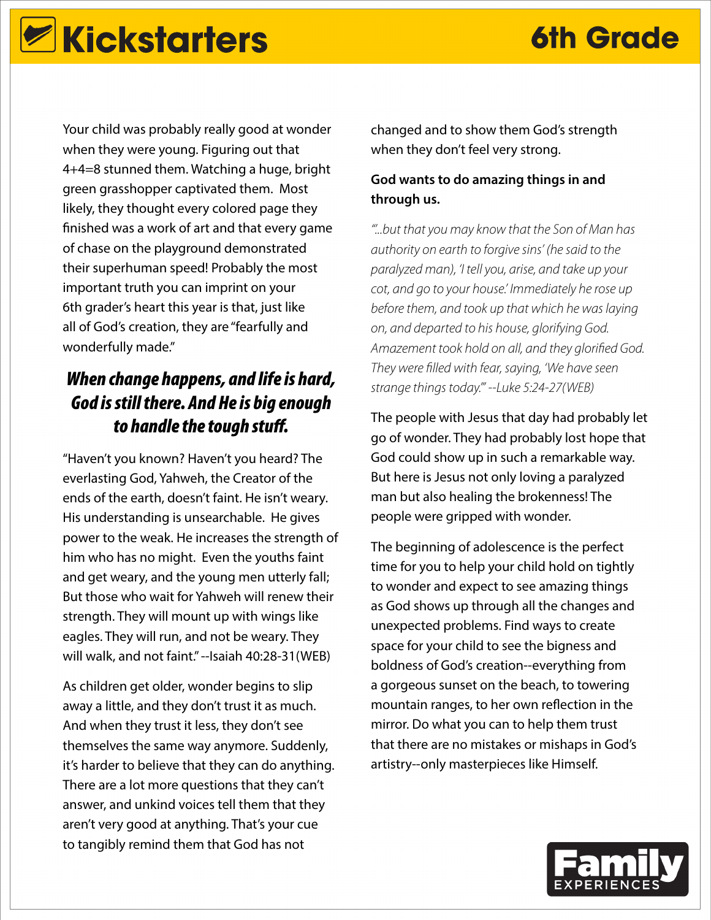# **Kickstarters 6th Grade**

Your child was probably really good at wonder when they were young. Figuring out that 4+4=8 stunned them. Watching a huge, bright green grasshopper captivated them. Most likely, they thought every colored page they finished was a work of art and that every game of chase on the playground demonstrated their superhuman speed! Probably the most important truth you can imprint on your 6th grader's heart this year is that, just like all of God's creation, they are "fearfully and wonderfully made."

## *When change happens, and life is hard, God is still there. And He is big enough to handle the tough stuff.*

"Haven't you known? Haven't you heard? The everlasting God, Yahweh, the Creator of the ends of the earth, doesn't faint. He isn't weary. His understanding is unsearchable. He gives power to the weak. He increases the strength of him who has no might. Even the youths faint and get weary, and the young men utterly fall; But those who wait for Yahweh will renew their strength. They will mount up with wings like eagles. They will run, and not be weary. They will walk, and not faint." --Isaiah 40:28-31(WEB)

As children get older, wonder begins to slip away a little, and they don't trust it as much. And when they trust it less, they don't see themselves the same way anymore. Suddenly, it's harder to believe that they can do anything. There are a lot more questions that they can't answer, and unkind voices tell them that they aren't very good at anything. That's your cue to tangibly remind them that God has not

changed and to show them God's strength when they don't feel very strong.

### **God wants to do amazing things in and through us.**

*"'...but that you may know that the Son of Man has authority on earth to forgive sins' (he said to the paralyzed man), 'I tell you, arise, and take up your cot, and go to your house.' Immediately he rose up before them, and took up that which he was laying on, and departed to his house, glorifying God. Amazement took hold on all, and they glorified God. They were filled with fear, saying, 'We have seen strange things today.'" --Luke 5:24-27(WEB)*

The people with Jesus that day had probably let go of wonder. They had probably lost hope that God could show up in such a remarkable way. But here is Jesus not only loving a paralyzed man but also healing the brokenness! The people were gripped with wonder.

The beginning of adolescence is the perfect time for you to help your child hold on tightly to wonder and expect to see amazing things as God shows up through all the changes and unexpected problems. Find ways to create space for your child to see the bigness and boldness of God's creation--everything from a gorgeous sunset on the beach, to towering mountain ranges, to her own reflection in the mirror. Do what you can to help them trust that there are no mistakes or mishaps in God's artistry--only masterpieces like Himself.